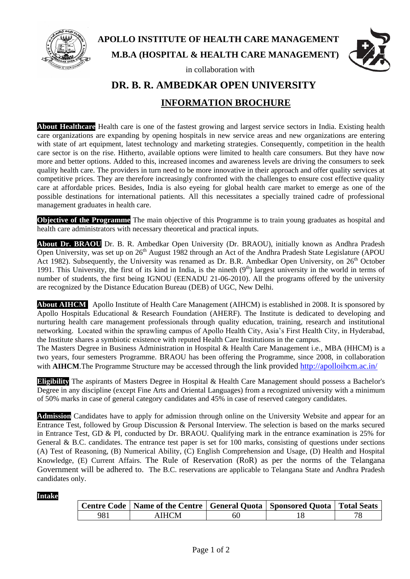

# **APOLLO INSTITUTE OF HEALTH CARE MANAGEMENT M.B.A (HOSPITAL & HEALTH CARE MANAGEMENT)**

in collaboration with



# **DR. B. R. AMBEDKAR OPEN UNIVERSITY INFORMATION BROCHURE**

**About Healthcare** Health care is one of the fastest growing and largest service sectors in India. Existing health care organizations are expanding by opening hospitals in new service areas and new organizations are entering with state of art equipment, latest technology and marketing strategies. Consequently, competition in the health care sector is on the rise. Hitherto, available options were limited to health care consumers. But they have now more and better options. Added to this, increased incomes and awareness levels are driving the consumers to seek quality health care. The providers in turn need to be more innovative in their approach and offer quality services at competitive prices. They are therefore increasingly confronted with the challenges to ensure cost effective quality care at affordable prices. Besides, India is also eyeing for global health care market to emerge as one of the possible destinations for international patients. All this necessitates a specially trained cadre of professional management graduates in health care.

**Objective of the Programme** The main objective of this Programme is to train young graduates as hospital and health care administrators with necessary theoretical and practical inputs.

**About Dr. BRAOU** Dr. B. R. Ambedkar Open University (Dr. BRAOU), initially known as Andhra Pradesh Open University, was set up on  $26<sup>th</sup>$  August 1982 through an Act of the Andhra Pradesh State Legislature (APOU) Act 1982). Subsequently, the University was renamed as Dr. B.R. Ambedkar Open University, on 26<sup>th</sup> October 1991. This University, the first of its kind in India, is the nineth  $(9<sup>th</sup>)$  largest university in the world in terms of number of students, the first being IGNOU (EENADU 21-06-2010). All the programs offered by the university are recognized by the Distance Education Bureau (DEB) of UGC, New Delhi.

**About AIHCM** Apollo Institute of Health Care Management (AIHCM) is established in 2008. It is sponsored by Apollo Hospitals Educational & Research Foundation (AHERF). The Institute is dedicated to developing and nurturing health care management professionals through quality education, training, research and institutional networking. Located within the sprawling campus of Apollo Health City, Asia's First Health City, in Hyderabad, the Institute shares a symbiotic existence with reputed Health Care Institutions in the campus.

The Masters Degree in Business Administration in Hospital & Health Care Management i.e., MBA (HHCM) is a two years, four semesters Programme. BRAOU has been offering the Programme, since 2008, in collaboration with **AIHCM**. The Programme Structure may be accessed through the link provided<http://apolloihcm.ac.in/>

**Eligibility** The aspirants of Masters Degree in Hospital & Health Care Management should possess a Bachelor's Degree in any discipline (except Fine Arts and Oriental Languages) from a recognized university with a minimum of 50% marks in case of general category candidates and 45% in case of reserved category candidates.

**Admission** Candidates have to apply for admission through online on the University Website and appear for an Entrance Test, followed by Group Discussion & Personal Interview. The selection is based on the marks secured in Entrance Test, GD & PI, conducted by Dr. BRAOU. Qualifying mark in the entrance examination is 25% for General & B.C. candidates. The entrance test paper is set for 100 marks, consisting of questions under sections (A) Test of Reasoning, (B) Numerical Ability, (C) English Comprehension and Usage, (D) Health and Hospital Knowledge, (E) Current Affairs. The Rule of Reservation (RoR) as per the norms of the Telangana Government will be adhered to. The B.C. reservations are applicable to Telangana State and Andhra Pradesh candidates only.

#### **Intake:**

|     | Centre Code   Name of the Centre   General Quota   Sponsored Quota   Total Seats |    |  |
|-----|----------------------------------------------------------------------------------|----|--|
| 981 | <b>AIHCM</b>                                                                     | 6U |  |